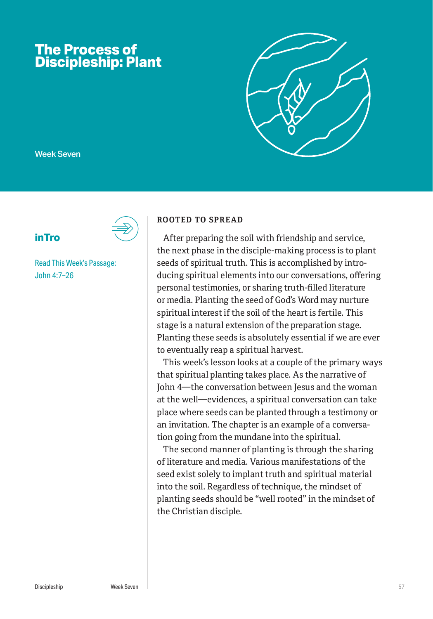# **The Process of Discipleship: Plant**



Week Seven

# **inTro**

Read This Week's Passage: John 4:7–26

#### **ROOTED TO SPREAD**

After preparing the soil with friendship and service, the next phase in the disciple-making process is to plant seeds of spiritual truth. This is accomplished by introducing spiritual elements into our conversations, offering personal testimonies, or sharing truth-filled literature or media. Planting the seed of God's Word may nurture spiritual interest if the soil of the heart is fertile. This stage is a natural extension of the preparation stage. Planting these seeds is absolutely essential if we are ever to eventually reap a spiritual harvest.

This week's lesson looks at a couple of the primary ways that spiritual planting takes place. As the narrative of John 4—the conversation between Jesus and the woman at the well—evidences, a spiritual conversation can take place where seeds can be planted through a testimony or an invitation. The chapter is an example of a conversation going from the mundane into the spiritual.

The second manner of planting is through the sharing of literature and media. Various manifestations of the seed exist solely to implant truth and spiritual material into the soil. Regardless of technique, the mindset of planting seeds should be "well rooted" in the mindset of the Christian disciple.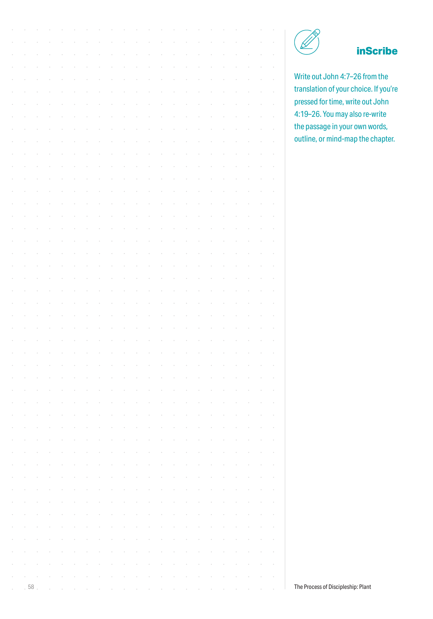

#### **inScribe**

Write out John 4:7–26 from the translation of your choice. If you're pressed for time, write out John 4:19–26. You may also re-write the passage in your own words, outline, or mind-map the chapter.

|          |      |  |  |  |  |  |  |  |  |  |   | <b>inS</b>                         |
|----------|------|--|--|--|--|--|--|--|--|--|---|------------------------------------|
|          |      |  |  |  |  |  |  |  |  |  |   |                                    |
|          |      |  |  |  |  |  |  |  |  |  |   | Write out John 4:7-26 from         |
|          |      |  |  |  |  |  |  |  |  |  |   | translation of your choice.        |
|          |      |  |  |  |  |  |  |  |  |  |   | pressed for time, write out        |
|          |      |  |  |  |  |  |  |  |  |  |   | 4:19-26. You may also re-          |
|          |      |  |  |  |  |  |  |  |  |  |   | the passage in your own w          |
|          |      |  |  |  |  |  |  |  |  |  |   | outline, or mind-map the o         |
|          |      |  |  |  |  |  |  |  |  |  |   |                                    |
|          |      |  |  |  |  |  |  |  |  |  |   |                                    |
|          |      |  |  |  |  |  |  |  |  |  |   |                                    |
|          |      |  |  |  |  |  |  |  |  |  |   |                                    |
|          |      |  |  |  |  |  |  |  |  |  |   |                                    |
|          |      |  |  |  |  |  |  |  |  |  |   |                                    |
|          |      |  |  |  |  |  |  |  |  |  |   |                                    |
|          |      |  |  |  |  |  |  |  |  |  |   |                                    |
|          |      |  |  |  |  |  |  |  |  |  |   |                                    |
|          |      |  |  |  |  |  |  |  |  |  |   |                                    |
|          |      |  |  |  |  |  |  |  |  |  |   |                                    |
|          |      |  |  |  |  |  |  |  |  |  |   |                                    |
|          |      |  |  |  |  |  |  |  |  |  |   |                                    |
|          |      |  |  |  |  |  |  |  |  |  |   |                                    |
|          |      |  |  |  |  |  |  |  |  |  |   |                                    |
|          |      |  |  |  |  |  |  |  |  |  |   |                                    |
|          |      |  |  |  |  |  |  |  |  |  |   |                                    |
|          |      |  |  |  |  |  |  |  |  |  |   |                                    |
|          |      |  |  |  |  |  |  |  |  |  |   |                                    |
|          |      |  |  |  |  |  |  |  |  |  |   |                                    |
|          |      |  |  |  |  |  |  |  |  |  |   |                                    |
|          |      |  |  |  |  |  |  |  |  |  |   |                                    |
|          |      |  |  |  |  |  |  |  |  |  |   |                                    |
|          |      |  |  |  |  |  |  |  |  |  |   |                                    |
|          |      |  |  |  |  |  |  |  |  |  |   |                                    |
| $\;$     |      |  |  |  |  |  |  |  |  |  |   |                                    |
| $\alpha$ |      |  |  |  |  |  |  |  |  |  |   |                                    |
|          |      |  |  |  |  |  |  |  |  |  |   |                                    |
|          |      |  |  |  |  |  |  |  |  |  |   |                                    |
|          |      |  |  |  |  |  |  |  |  |  |   |                                    |
|          |      |  |  |  |  |  |  |  |  |  |   |                                    |
| $\circ$  |      |  |  |  |  |  |  |  |  |  | × |                                    |
| ×        | . 58 |  |  |  |  |  |  |  |  |  |   | The Process of Discipleship: Plant |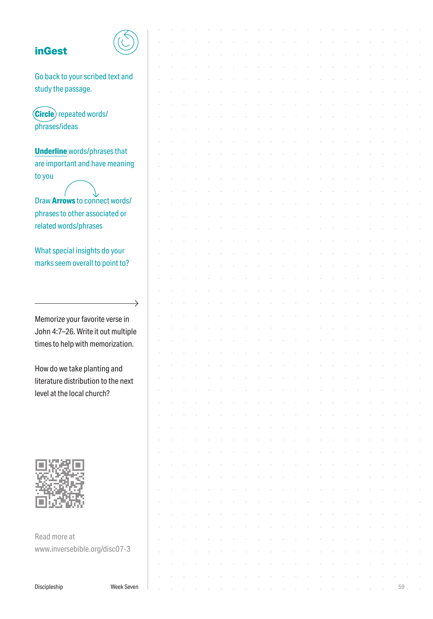### **inGest**





| <b>inGest</b>                       |  |  |  |  |  |  |  |  |  |    |  |
|-------------------------------------|--|--|--|--|--|--|--|--|--|----|--|
|                                     |  |  |  |  |  |  |  |  |  |    |  |
| Go back to your scribed text and    |  |  |  |  |  |  |  |  |  |    |  |
| study the passage.                  |  |  |  |  |  |  |  |  |  |    |  |
|                                     |  |  |  |  |  |  |  |  |  |    |  |
| Circle) repeated words/             |  |  |  |  |  |  |  |  |  |    |  |
| phrases/ideas                       |  |  |  |  |  |  |  |  |  |    |  |
|                                     |  |  |  |  |  |  |  |  |  |    |  |
| <b>Underline</b> words/phrases that |  |  |  |  |  |  |  |  |  |    |  |
| are important and have meaning      |  |  |  |  |  |  |  |  |  |    |  |
| to you                              |  |  |  |  |  |  |  |  |  |    |  |
|                                     |  |  |  |  |  |  |  |  |  |    |  |
| Draw Arrows to connect words/       |  |  |  |  |  |  |  |  |  |    |  |
| phrases to other associated or      |  |  |  |  |  |  |  |  |  |    |  |
| related words/phrases               |  |  |  |  |  |  |  |  |  |    |  |
|                                     |  |  |  |  |  |  |  |  |  |    |  |
| What special insights do your       |  |  |  |  |  |  |  |  |  |    |  |
| marks seem overall to point to?     |  |  |  |  |  |  |  |  |  |    |  |
|                                     |  |  |  |  |  |  |  |  |  |    |  |
|                                     |  |  |  |  |  |  |  |  |  |    |  |
| →                                   |  |  |  |  |  |  |  |  |  |    |  |
| Memorize your favorite verse in     |  |  |  |  |  |  |  |  |  |    |  |
| John 4:7-26. Write it out multiple  |  |  |  |  |  |  |  |  |  |    |  |
| times to help with memorization.    |  |  |  |  |  |  |  |  |  |    |  |
|                                     |  |  |  |  |  |  |  |  |  |    |  |
| How do we take planting and         |  |  |  |  |  |  |  |  |  |    |  |
| literature distribution to the next |  |  |  |  |  |  |  |  |  |    |  |
| level at the local church?          |  |  |  |  |  |  |  |  |  |    |  |
|                                     |  |  |  |  |  |  |  |  |  |    |  |
|                                     |  |  |  |  |  |  |  |  |  |    |  |
|                                     |  |  |  |  |  |  |  |  |  |    |  |
|                                     |  |  |  |  |  |  |  |  |  |    |  |
|                                     |  |  |  |  |  |  |  |  |  |    |  |
|                                     |  |  |  |  |  |  |  |  |  |    |  |
|                                     |  |  |  |  |  |  |  |  |  |    |  |
| П                                   |  |  |  |  |  |  |  |  |  |    |  |
|                                     |  |  |  |  |  |  |  |  |  |    |  |
|                                     |  |  |  |  |  |  |  |  |  |    |  |
| Read more at                        |  |  |  |  |  |  |  |  |  |    |  |
| www.inversebible.org/disc07-3       |  |  |  |  |  |  |  |  |  |    |  |
|                                     |  |  |  |  |  |  |  |  |  |    |  |
|                                     |  |  |  |  |  |  |  |  |  |    |  |
| Week Seven<br>Discipleship          |  |  |  |  |  |  |  |  |  | 59 |  |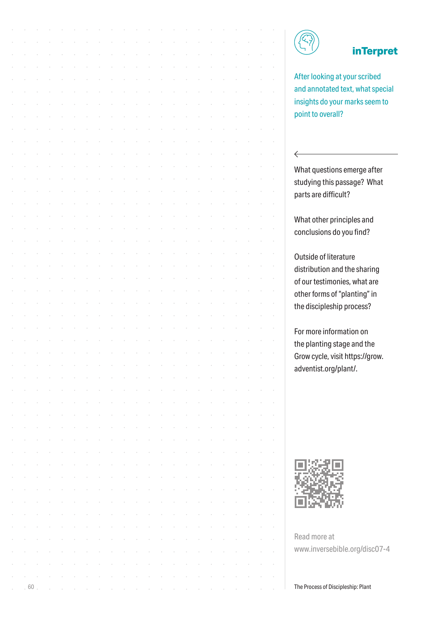

 $\leftarrow$ 

### **inTerpret**

After looking at your scribed and annotated text, what special insights do your marks seem to point to overall?

What questions emerge after studying this passage? What parts are difficult?

What other principles and conclusions do you find?

Outside of literature distribution and the sharing of our testimonies, what are other forms of "planting" in the discipleship process?

For more information on the planting stage and the Grow cycle, visit https://grow. adventist.org/plant/.



Read more at www.inversebible.org/disc07-4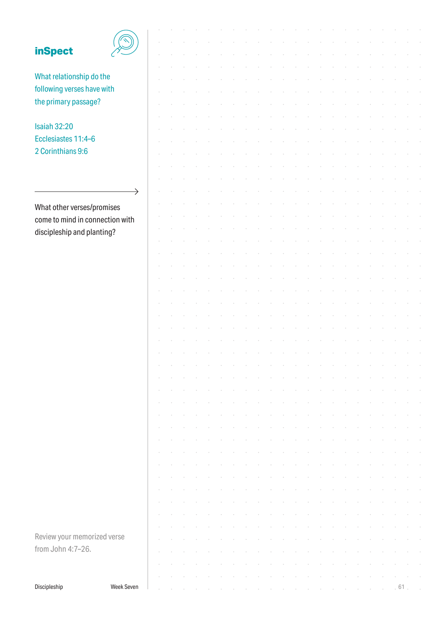| <b>inSpect</b>                  |            |  |  |  |  |  |  |  |  |  |     |  |
|---------------------------------|------------|--|--|--|--|--|--|--|--|--|-----|--|
|                                 |            |  |  |  |  |  |  |  |  |  |     |  |
| What relationship do the        |            |  |  |  |  |  |  |  |  |  |     |  |
| following verses have with      |            |  |  |  |  |  |  |  |  |  |     |  |
|                                 |            |  |  |  |  |  |  |  |  |  |     |  |
| the primary passage?            |            |  |  |  |  |  |  |  |  |  |     |  |
|                                 |            |  |  |  |  |  |  |  |  |  |     |  |
| <b>Isaiah 32:20</b>             |            |  |  |  |  |  |  |  |  |  |     |  |
| Ecclesiastes 11:4-6             |            |  |  |  |  |  |  |  |  |  |     |  |
| 2 Corinthians 9:6               |            |  |  |  |  |  |  |  |  |  |     |  |
|                                 |            |  |  |  |  |  |  |  |  |  |     |  |
|                                 |            |  |  |  |  |  |  |  |  |  |     |  |
|                                 | →          |  |  |  |  |  |  |  |  |  |     |  |
|                                 |            |  |  |  |  |  |  |  |  |  |     |  |
| What other verses/promises      |            |  |  |  |  |  |  |  |  |  |     |  |
| come to mind in connection with |            |  |  |  |  |  |  |  |  |  |     |  |
| discipleship and planting?      |            |  |  |  |  |  |  |  |  |  |     |  |
|                                 |            |  |  |  |  |  |  |  |  |  |     |  |
|                                 |            |  |  |  |  |  |  |  |  |  |     |  |
|                                 |            |  |  |  |  |  |  |  |  |  |     |  |
|                                 |            |  |  |  |  |  |  |  |  |  |     |  |
|                                 |            |  |  |  |  |  |  |  |  |  |     |  |
|                                 |            |  |  |  |  |  |  |  |  |  |     |  |
|                                 |            |  |  |  |  |  |  |  |  |  |     |  |
|                                 |            |  |  |  |  |  |  |  |  |  |     |  |
|                                 |            |  |  |  |  |  |  |  |  |  |     |  |
|                                 |            |  |  |  |  |  |  |  |  |  |     |  |
|                                 |            |  |  |  |  |  |  |  |  |  |     |  |
|                                 |            |  |  |  |  |  |  |  |  |  |     |  |
|                                 |            |  |  |  |  |  |  |  |  |  |     |  |
|                                 |            |  |  |  |  |  |  |  |  |  |     |  |
|                                 |            |  |  |  |  |  |  |  |  |  |     |  |
|                                 |            |  |  |  |  |  |  |  |  |  |     |  |
|                                 |            |  |  |  |  |  |  |  |  |  |     |  |
|                                 |            |  |  |  |  |  |  |  |  |  |     |  |
|                                 |            |  |  |  |  |  |  |  |  |  |     |  |
|                                 |            |  |  |  |  |  |  |  |  |  |     |  |
|                                 |            |  |  |  |  |  |  |  |  |  |     |  |
|                                 |            |  |  |  |  |  |  |  |  |  |     |  |
|                                 |            |  |  |  |  |  |  |  |  |  |     |  |
|                                 |            |  |  |  |  |  |  |  |  |  |     |  |
|                                 |            |  |  |  |  |  |  |  |  |  |     |  |
|                                 |            |  |  |  |  |  |  |  |  |  |     |  |
| Review your memorized verse     |            |  |  |  |  |  |  |  |  |  |     |  |
| from John 4:7-26.               |            |  |  |  |  |  |  |  |  |  |     |  |
|                                 |            |  |  |  |  |  |  |  |  |  |     |  |
|                                 |            |  |  |  |  |  |  |  |  |  |     |  |
| Discipleship                    | Week Seven |  |  |  |  |  |  |  |  |  | 61. |  |
|                                 |            |  |  |  |  |  |  |  |  |  |     |  |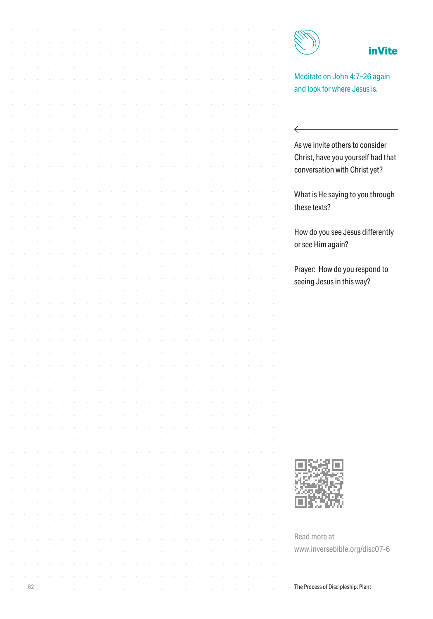$\leftarrow$ 

## **inVite**

Meditate on John 4:7–26 again and look for where Jesus is.

As we invite others to consider Christ, have you yourself had that conversation with Christ yet?

What is He saying to you through these texts?

How do you see Jesus differently or see Him again?

Prayer: How do you respond to seeing Jesus in this way?



Read more at www.inversebible.org/disc07-6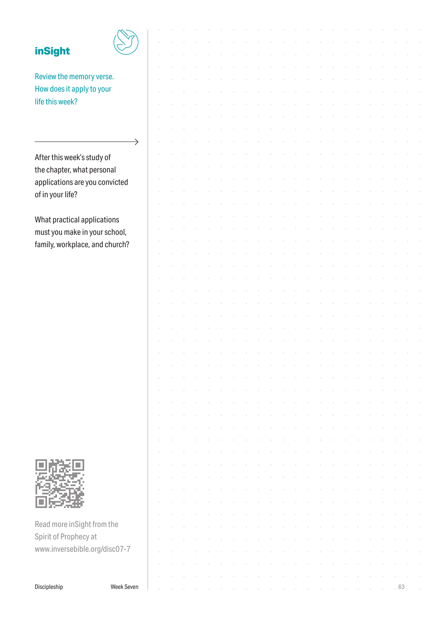| <b>inSight</b>                 |               |  |  |  |  |  |  |  |  |  |    |  |
|--------------------------------|---------------|--|--|--|--|--|--|--|--|--|----|--|
|                                |               |  |  |  |  |  |  |  |  |  |    |  |
| Review the memory verse.       |               |  |  |  |  |  |  |  |  |  |    |  |
| How does it apply to your      |               |  |  |  |  |  |  |  |  |  |    |  |
| life this week?                |               |  |  |  |  |  |  |  |  |  |    |  |
|                                |               |  |  |  |  |  |  |  |  |  |    |  |
|                                |               |  |  |  |  |  |  |  |  |  |    |  |
|                                |               |  |  |  |  |  |  |  |  |  |    |  |
|                                | $\rightarrow$ |  |  |  |  |  |  |  |  |  |    |  |
| After this week's study of     |               |  |  |  |  |  |  |  |  |  |    |  |
| the chapter, what personal     |               |  |  |  |  |  |  |  |  |  |    |  |
| applications are you convicted |               |  |  |  |  |  |  |  |  |  |    |  |
| of in your life?               |               |  |  |  |  |  |  |  |  |  |    |  |
|                                |               |  |  |  |  |  |  |  |  |  |    |  |
| What practical applications    |               |  |  |  |  |  |  |  |  |  |    |  |
| must you make in your school,  |               |  |  |  |  |  |  |  |  |  |    |  |
| family, workplace, and church? |               |  |  |  |  |  |  |  |  |  |    |  |
|                                |               |  |  |  |  |  |  |  |  |  |    |  |
|                                |               |  |  |  |  |  |  |  |  |  |    |  |
|                                |               |  |  |  |  |  |  |  |  |  |    |  |
|                                |               |  |  |  |  |  |  |  |  |  |    |  |
|                                |               |  |  |  |  |  |  |  |  |  |    |  |
|                                |               |  |  |  |  |  |  |  |  |  |    |  |
|                                |               |  |  |  |  |  |  |  |  |  |    |  |
|                                |               |  |  |  |  |  |  |  |  |  |    |  |
|                                |               |  |  |  |  |  |  |  |  |  |    |  |
|                                |               |  |  |  |  |  |  |  |  |  |    |  |
|                                |               |  |  |  |  |  |  |  |  |  |    |  |
|                                |               |  |  |  |  |  |  |  |  |  |    |  |
|                                |               |  |  |  |  |  |  |  |  |  |    |  |
|                                |               |  |  |  |  |  |  |  |  |  |    |  |
|                                |               |  |  |  |  |  |  |  |  |  |    |  |
|                                |               |  |  |  |  |  |  |  |  |  |    |  |
|                                |               |  |  |  |  |  |  |  |  |  |    |  |
|                                |               |  |  |  |  |  |  |  |  |  |    |  |
|                                |               |  |  |  |  |  |  |  |  |  |    |  |
|                                |               |  |  |  |  |  |  |  |  |  |    |  |
|                                |               |  |  |  |  |  |  |  |  |  |    |  |
|                                |               |  |  |  |  |  |  |  |  |  |    |  |
|                                |               |  |  |  |  |  |  |  |  |  |    |  |
| Read more inSight from the     |               |  |  |  |  |  |  |  |  |  |    |  |
| Spirit of Prophecy at          |               |  |  |  |  |  |  |  |  |  |    |  |
| www.inversebible.org/disc07-7  |               |  |  |  |  |  |  |  |  |  |    |  |
|                                |               |  |  |  |  |  |  |  |  |  |    |  |
|                                |               |  |  |  |  |  |  |  |  |  |    |  |
| Discipleship                   | Week Seven    |  |  |  |  |  |  |  |  |  | 63 |  |
|                                |               |  |  |  |  |  |  |  |  |  |    |  |